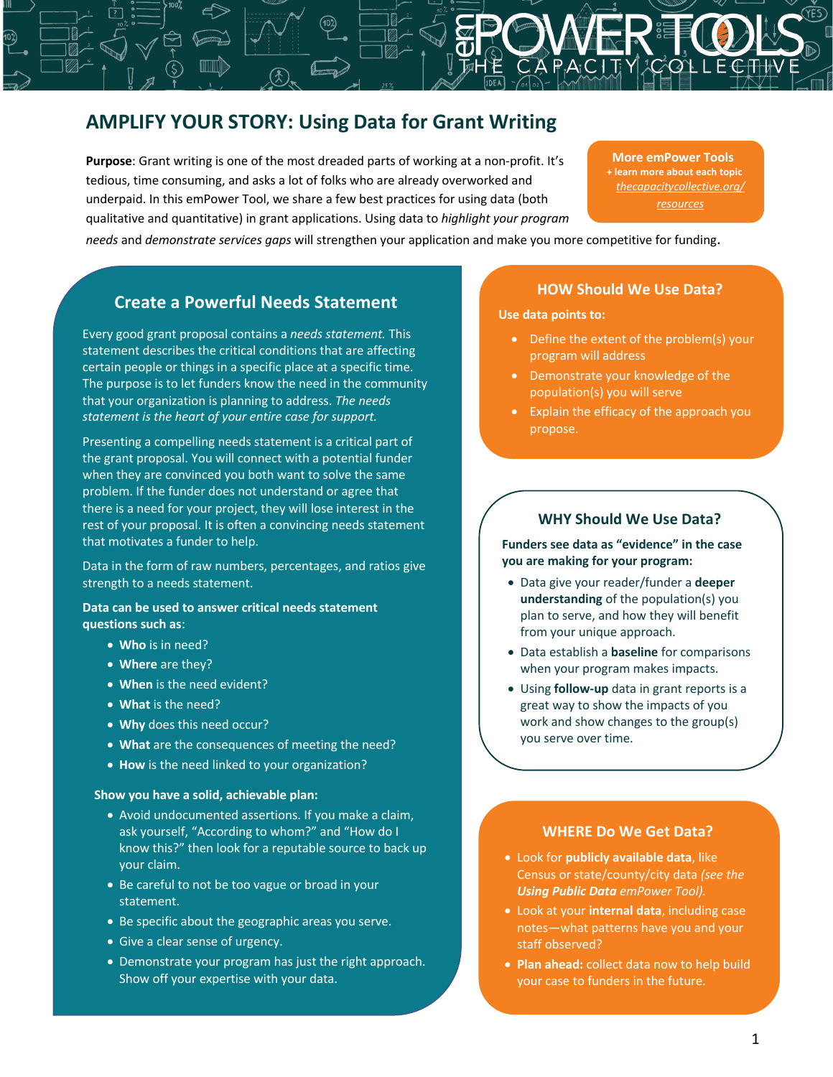# **AMPLIFY YOUR STORY: Using Data for Grant Writing**

**Purpose**: Grant writing is one of the most dreaded parts of working at a non-profit. It's tedious, time consuming, and asks a lot of folks who are already overworked and underpaid. In this emPower Tool, we share a few best practices for using data (both qualitative and quantitative) in grant applications. Using data to *highlight your program* 

**More emPower Tools + learn more about each topic** *thecapacitycollective.org/ resources*

*needs* and *demonstrate services gaps* will strengthen your application and make you more competitive for funding.

# **Create a Powerful Needs Statement**

Every good grant proposal contains a *needs statement.* This statement describes the critical conditions that are affecting certain people or things in a specific place at a specific time. The purpose is to let funders know the need in the community that your organization is planning to address. *The needs statement is the heart of your entire case for support.*

Presenting a compelling needs statement is a critical part of the grant proposal. You will connect with a potential funder when they are convinced you both want to solve the same problem. If the funder does not understand or agree that there is a need for your project, they will lose interest in the rest of your proposal. It is often a convincing needs statement that motivates a funder to help.

Data in the form of raw numbers, percentages, and ratios give strength to a needs statement.

**Data can be used to answer critical needs statement questions such as**:

- **Who** is in need?
- **Where** are they?
- **When** is the need evident?
- **What** is the need?
- **Why** does this need occur?
- **What** are the consequences of meeting the need?
- **How** is the need linked to your organization?

### **Show you have a solid, achievable plan:**

- Avoid undocumented assertions. If you make a claim, ask yourself, "According to whom?" and "How do I know this?" then look for a reputable source to back up your claim.
- Be careful to not be too vague or broad in your statement.
- Be specific about the geographic areas you serve.
- Give a clear sense of urgency.
- Demonstrate your program has just the right approach. Show off your expertise with your data.

#### **HOW Should We Use Data?**

**Use data points to:**

- Define the extent of the problem(s) your program will address
- Demonstrate your knowledge of the population(s) you will serve
- Explain the efficacy of the approach you propose.

### **WHY Should We Use Data?**

**Funders see data as "evidence" in the case you are making for your program:**

- Data give your reader/funder a **deeper understanding** of the population(s) you plan to serve, and how they will benefit from your unique approach.
- Data establish a **baseline** for comparisons when your program makes impacts.
- Using **follow-up** data in grant reports is a great way to show the impacts of you work and show changes to the group(s) you serve over time.

### **WHERE Do We Get Data?**

- Look for **publicly available data**, like Census or state/county/city data *(see the Using Public Data emPower Tool).*
- Look at your **internal data**, including case notes—what patterns have you and your staff observed?
- **Plan ahead:** collect data now to help build your case to funders in the future.